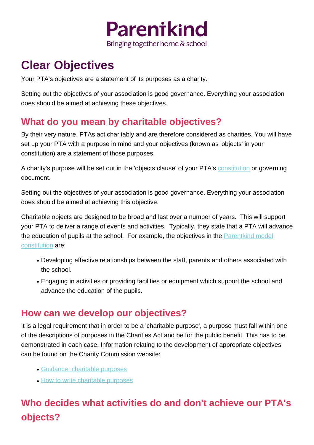

# **Clear Objectives**

Your PTA's objectives are a statement of its purposes as a charity.

Setting out the objectives of your association is good governance. Everything your association does should be aimed at achieving these objectives.

### **What do you mean by charitable objectives?**

By their very nature, PTAs act charitably and are therefore considered as charities. You will have set up your PTA with a purpose in mind and your objectives (known as 'objects' in your constitution) are a statement of those purposes.

A charity's purpose will be set out in the 'objects clause' of your PTA's [constitution](/Info-sheets/Model-Constitution---Information?category=1421) or governing document.

Setting out the objectives of your association is good governance. Everything your association does should be aimed at achieving this objective.

Charitable objects are designed to be broad and last over a number of years. This will support your PTA to deliver a range of events and activities. Typically, they state that a PTA will advance the education of pupils at the school. For example, the objectives in the **[Parentkind model](/Info-sheets/Model-Constitution---Information)** [constitution](/Info-sheets/Model-Constitution---Information) are:

- Developing effective relationships between the staff, parents and others associated with the school.
- Engaging in activities or providing facilities or equipment which support the school and advance the education of the pupils.

### **How can we develop our objectives?**

It is a legal requirement that in order to be a 'charitable purpose', a purpose must fall within one of the descriptions of purposes in the Charities Act and be for the public benefit. This has to be demonstrated in each case. Information relating to the development of appropriate objectives can be found on the Charity Commission website:

- [Guidance: charitable purposes](https://www.gov.uk/government/publications/charitable-purposes/charitable-purposes)
- [How to write charitable purposes](https://www.gov.uk/guidance/how-to-write-charitable-purposes)

## **Who decides what activities do and don't achieve our PTA's objects?**